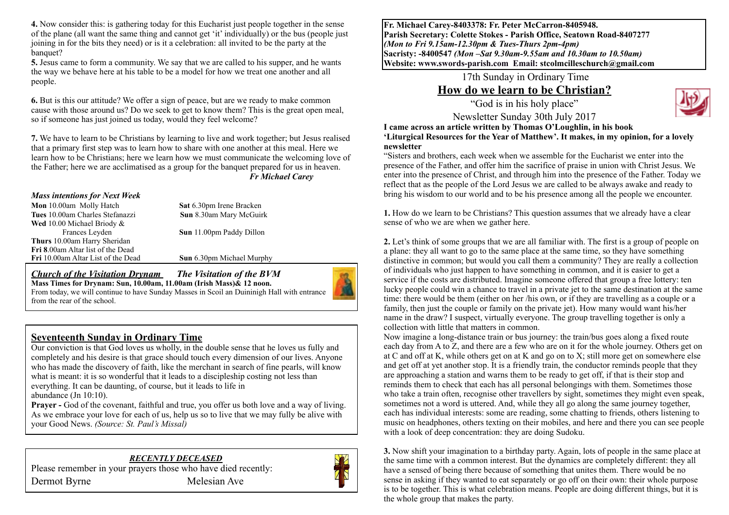**4.** Now consider this: is gathering today for this Eucharist just people together in the sense of the plane (all want the same thing and cannot get 'it' individually) or the bus (people just joining in for the bits they need) or is it a celebration: all invited to be the party at the banquet?

**5.** Jesus came to form a community. We say that we are called to his supper, and he wants the way we behave here at his table to be a model for how we treat one another and all people.

**6.** But is this our attitude? We offer a sign of peace, but are we ready to make common cause with those around us? Do we seek to get to know them? This is the great open meal, so if someone has just joined us today, would they feel welcome?

**7.** We have to learn to be Christians by learning to live and work together; but Jesus realised that a primary first step was to learn how to share with one another at this meal. Here we learn how to be Christians; here we learn how we must communicate the welcoming love of the Father; here we are acclimatised as a group for the banquet prepared for us in heaven. *Fr Michael Carey*

| <b>Mass intentions for Next Week</b>      |                                  |  |
|-------------------------------------------|----------------------------------|--|
| Mon 10.00am Molly Hatch                   | <b>Sat</b> 6.30pm Irene Bracken  |  |
| Tues 10.00am Charles Stefanazzi           | Sun 8.30am Mary McGuirk          |  |
| <b>Wed</b> 10.00 Michael Briody $\&$      |                                  |  |
| Frances Leyden                            | <b>Sun</b> 11.00pm Paddy Dillon  |  |
| Thurs 10.00am Harry Sheridan              |                                  |  |
| Fri 8.00am Altar list of the Dead         |                                  |  |
| <b>Fri</b> 10.00am Altar List of the Dead | <b>Sun</b> 6.30pm Michael Murphy |  |
|                                           |                                  |  |

*Church of the Visitation Drynam**The Visitation of the BVM* **Mass Times for Drynam: Sun, 10.00am, 11.00am (Irish Mass)& 12 noon.** From today, we will continue to have Sunday Masses in Scoil an Duininigh Hall with entrance



# **Seventeenth Sunday in Ordinary Time**

from the rear of the school.

Our conviction is that God loves us wholly, in the double sense that he loves us fully and completely and his desire is that grace should touch every dimension of our lives. Anyone who has made the discovery of faith, like the merchant in search of fine pearls, will know what is meant: it is so wonderful that it leads to a discipleship costing not less than everything. It can be daunting, of course, but it leads to life in abundance (Jn 10:10).

**Prayer -** God of the covenant, faithful and true, you offer us both love and a way of living. As we embrace your love for each of us, help us so to live that we may fully be alive with your Good News. *(Source: St. Paul's Missal)*

*RECENTLY DECEASED*  Please remember in your prayers those who have died recently: Dermot Byrne Melesian Ave



**Fr. Michael Carey-8403378: Fr. Peter McCarron-8405948. Parish Secretary: Colette Stokes - Parish Office, Seatown Road-8407277**  *(Mon to Fri 9.15am-12.30pm & Tues-Thurs 2pm-4pm)*  **Sacristy: -8400547** *(Mon –Sat 9.30am-9.55am and 10.30am to 10.50am)* **Website: [www.swords-parish.com Email:](http://www.swords-parish.com%20%20email) stcolmcilleschurch@gmail.com**

17th Sunday in Ordinary Time

# **How do we learn to be Christian?**

"God is in his holy place"



Newsletter Sunday 30th July 2017

**I came across an article written by Thomas O'Loughlin, in his book 'Liturgical Resources for the Year of Matthew'. It makes, in my opinion, for a lovely newsletter** 

"Sisters and brothers, each week when we assemble for the Eucharist we enter into the presence of the Father, and offer him the sacrifice of praise in union with Christ Jesus. We enter into the presence of Christ, and through him into the presence of the Father. Today we reflect that as the people of the Lord Jesus we are called to be always awake and ready to bring his wisdom to our world and to be his presence among all the people we encounter.

**1.** How do we learn to be Christians? This question assumes that we already have a clear sense of who we are when we gather here.

**2.** Let's think of some groups that we are all familiar with. The first is a group of people on a plane: they all want to go to the same place at the same time, so they have something distinctive in common; but would you call them a community? They are really a collection of individuals who just happen to have something in common, and it is easier to get a service if the costs are distributed. Imagine someone offered that group a free lottery: ten lucky people could win a chance to travel in a private jet to the same destination at the same time: there would be them (either on her /his own, or if they are travelling as a couple or a family, then just the couple or family on the private jet). How many would want his/her name in the draw? I suspect, virtually everyone. The group travelling together is only a collection with little that matters in common.

Now imagine a long-distance train or bus journey: the train/bus goes along a fixed route each day from A to Z, and there are a few who are on it for the whole journey. Others get on at C and off at K, while others get on at K and go on to X; still more get on somewhere else and get off at yet another stop. It is a friendly train, the conductor reminds people that they are approaching a station and warns them to be ready to get off, if that is their stop and reminds them to check that each has all personal belongings with them. Sometimes those who take a train often, recognise other travellers by sight, sometimes they might even speak, sometimes not a word is uttered. And, while they all go along the same journey together, each has individual interests: some are reading, some chatting to friends, others listening to music on headphones, others texting on their mobiles, and here and there you can see people with a look of deep concentration: they are doing Sudoku.

**3.** Now shift your imagination to a birthday party. Again, lots of people in the same place at the same time with a common interest. But the dynamics are completely different: they all have a sensed of being there because of something that unites them. There would be no sense in asking if they wanted to eat separately or go off on their own: their whole purpose is to be together. This is what celebration means. People are doing different things, but it is the whole group that makes the party.